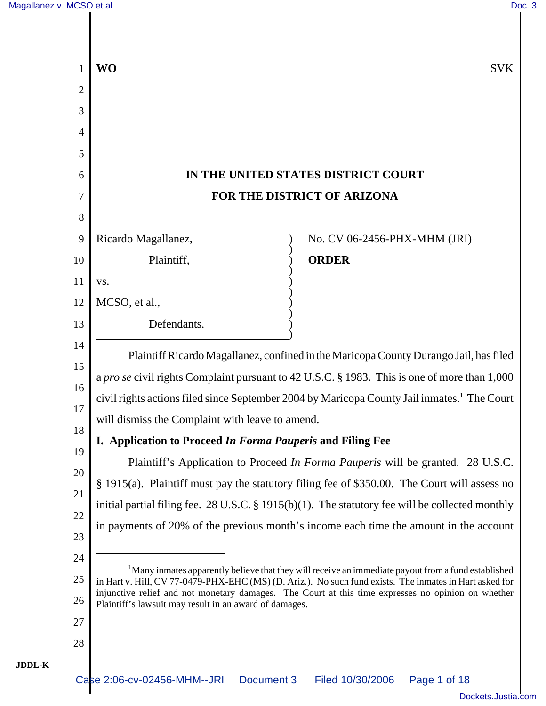|                | <b>WO</b>                                               | <b>SVK</b>                                                                                                                                                                                                    |
|----------------|---------------------------------------------------------|---------------------------------------------------------------------------------------------------------------------------------------------------------------------------------------------------------------|
| $\overline{2}$ |                                                         |                                                                                                                                                                                                               |
| 3<br>4         |                                                         |                                                                                                                                                                                                               |
| 5              |                                                         |                                                                                                                                                                                                               |
| 6              |                                                         | IN THE UNITED STATES DISTRICT COURT                                                                                                                                                                           |
| 7              |                                                         | FOR THE DISTRICT OF ARIZONA                                                                                                                                                                                   |
| 8              |                                                         |                                                                                                                                                                                                               |
| 9              | Ricardo Magallanez,                                     | No. CV 06-2456-PHX-MHM (JRI)                                                                                                                                                                                  |
| 10             | Plaintiff,                                              | <b>ORDER</b>                                                                                                                                                                                                  |
| 11             | VS.                                                     |                                                                                                                                                                                                               |
| 12             | MCSO, et al.,                                           |                                                                                                                                                                                                               |
| 13             | Defendants.                                             |                                                                                                                                                                                                               |
| 14             |                                                         |                                                                                                                                                                                                               |
| 15             |                                                         | Plaintiff Ricardo Magallanez, confined in the Maricopa County Durango Jail, has filed                                                                                                                         |
| 16             |                                                         | a pro se civil rights Complaint pursuant to 42 U.S.C. § 1983. This is one of more than 1,000<br>civil rights actions filed since September 2004 by Maricopa County Jail inmates. <sup>1</sup> The Court       |
| 17             | will dismiss the Complaint with leave to amend.         |                                                                                                                                                                                                               |
| 18             | Application to Proceed In Forma Pauperis and Filing Fee |                                                                                                                                                                                                               |
| 19             |                                                         | Plaintiff's Application to Proceed In Forma Pauperis will be granted. 28 U.S.C.                                                                                                                               |
| 20             |                                                         | § 1915(a). Plaintiff must pay the statutory filing fee of \$350.00. The Court will assess no                                                                                                                  |
| 21             |                                                         | initial partial filing fee. 28 U.S.C. § 1915(b)(1). The statutory fee will be collected monthly                                                                                                               |
| 22             |                                                         | in payments of 20% of the previous month's income each time the amount in the account                                                                                                                         |
| 23             |                                                         |                                                                                                                                                                                                               |
| 24             |                                                         | <sup>1</sup> Many inmates apparently believe that they will receive an immediate payout from a fund established                                                                                               |
| 25             |                                                         | in Hart v. Hill, CV 77-0479-PHX-EHC (MS) (D. Ariz.). No such fund exists. The inmates in Hart asked for<br>injunctive relief and not monetary damages. The Court at this time expresses no opinion on whether |
| 26             | Plaintiff's lawsuit may result in an award of damages.  |                                                                                                                                                                                                               |
| 27             |                                                         |                                                                                                                                                                                                               |
| 28             |                                                         |                                                                                                                                                                                                               |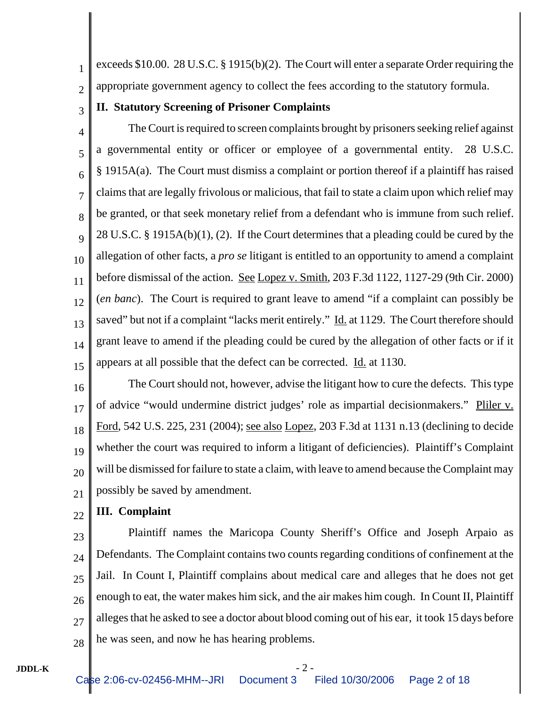1 2 exceeds \$10.00. 28 U.S.C. § 1915(b)(2). The Court will enter a separate Order requiring the appropriate government agency to collect the fees according to the statutory formula.

3

### **II. Statutory Screening of Prisoner Complaints**

4 5 6 7 8 9 10 11 12 13 14 15 The Court is required to screen complaints brought by prisoners seeking relief against a governmental entity or officer or employee of a governmental entity. 28 U.S.C. § 1915A(a). The Court must dismiss a complaint or portion thereof if a plaintiff has raised claims that are legally frivolous or malicious, that fail to state a claim upon which relief may be granted, or that seek monetary relief from a defendant who is immune from such relief. 28 U.S.C. § 1915A(b)(1), (2). If the Court determines that a pleading could be cured by the allegation of other facts, a *pro se* litigant is entitled to an opportunity to amend a complaint before dismissal of the action. See Lopez v. Smith, 203 F.3d 1122, 1127-29 (9th Cir. 2000) (*en banc*). The Court is required to grant leave to amend "if a complaint can possibly be saved" but not if a complaint "lacks merit entirely." Id. at 1129. The Court therefore should grant leave to amend if the pleading could be cured by the allegation of other facts or if it appears at all possible that the defect can be corrected. Id. at 1130.

16 17 18 19 20 21 The Court should not, however, advise the litigant how to cure the defects. This type of advice "would undermine district judges' role as impartial decisionmakers." Pliler v. Ford, 542 U.S. 225, 231 (2004); see also Lopez, 203 F.3d at 1131 n.13 (declining to decide whether the court was required to inform a litigant of deficiencies). Plaintiff's Complaint will be dismissed for failure to state a claim, with leave to amend because the Complaint may possibly be saved by amendment.

#### 22 **III. Complaint**

23

 $24$ 25 26 27 28 Plaintiff names the Maricopa County Sheriff's Office and Joseph Arpaio as Defendants. The Complaint contains two counts regarding conditions of confinement at the Jail. In Count I, Plaintiff complains about medical care and alleges that he does not get enough to eat, the water makes him sick, and the air makes him cough. In Count II, Plaintiff alleges that he asked to see a doctor about blood coming out of his ear, it took 15 days before he was seen, and now he has hearing problems.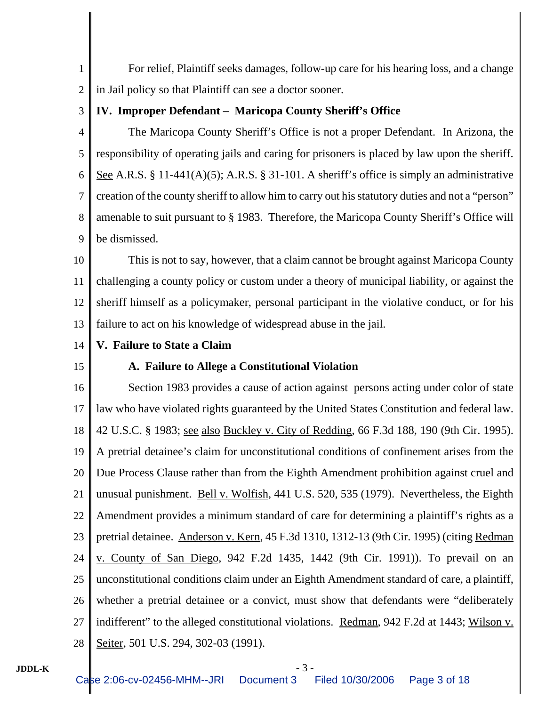1 2 For relief, Plaintiff seeks damages, follow-up care for his hearing loss, and a change in Jail policy so that Plaintiff can see a doctor sooner.

3

### **IV. Improper Defendant – Maricopa County Sheriff's Office**

4 5 6 7 8 9 The Maricopa County Sheriff's Office is not a proper Defendant. In Arizona, the responsibility of operating jails and caring for prisoners is placed by law upon the sheriff. See A.R.S. § 11-441(A)(5); A.R.S. § 31-101. A sheriff's office is simply an administrative creation of the county sheriff to allow him to carry out his statutory duties and not a "person" amenable to suit pursuant to § 1983. Therefore, the Maricopa County Sheriff's Office will be dismissed.

10 11 12 13 This is not to say, however, that a claim cannot be brought against Maricopa County challenging a county policy or custom under a theory of municipal liability, or against the sheriff himself as a policymaker, personal participant in the violative conduct, or for his failure to act on his knowledge of widespread abuse in the jail.

- 14 **V. Failure to State a Claim**
- 15

### **A. Failure to Allege a Constitutional Violation**

16 17 18 19 20 21 22 23 24 25 26 27 28 Section 1983 provides a cause of action against persons acting under color of state law who have violated rights guaranteed by the United States Constitution and federal law. 42 U.S.C. § 1983; see also Buckley v. City of Redding, 66 F.3d 188, 190 (9th Cir. 1995). A pretrial detainee's claim for unconstitutional conditions of confinement arises from the Due Process Clause rather than from the Eighth Amendment prohibition against cruel and unusual punishment. <u>Bell v. Wolfish</u>, 441 U.S. 520, 535 (1979). Nevertheless, the Eighth Amendment provides a minimum standard of care for determining a plaintiff's rights as a pretrial detainee. Anderson v. Kern, 45 F.3d 1310, 1312-13 (9th Cir. 1995) (citing Redman v. County of San Diego, 942 F.2d 1435, 1442 (9th Cir. 1991)). To prevail on an unconstitutional conditions claim under an Eighth Amendment standard of care, a plaintiff, whether a pretrial detainee or a convict, must show that defendants were "deliberately indifferent" to the alleged constitutional violations. Redman, 942 F.2d at 1443; Wilson v. Seiter, 501 U.S. 294, 302-03 (1991).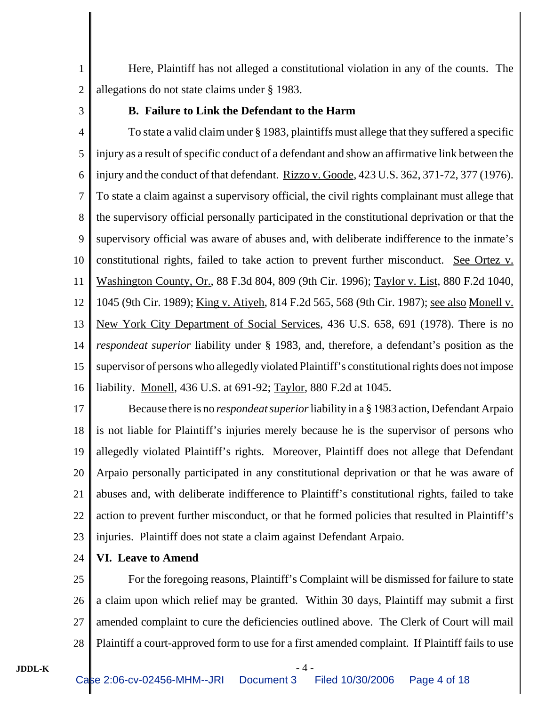1 2 Here, Plaintiff has not alleged a constitutional violation in any of the counts. The allegations do not state claims under § 1983.

3

### **B. Failure to Link the Defendant to the Harm**

4 5 6 7 8 9 10 11 12 13 14 15 16 To state a valid claim under § 1983, plaintiffs must allege that they suffered a specific injury as a result of specific conduct of a defendant and show an affirmative link between the injury and the conduct of that defendant. Rizzo v. Goode, 423 U.S. 362, 371-72, 377 (1976). To state a claim against a supervisory official, the civil rights complainant must allege that the supervisory official personally participated in the constitutional deprivation or that the supervisory official was aware of abuses and, with deliberate indifference to the inmate's constitutional rights, failed to take action to prevent further misconduct. See Ortez v. Washington County, Or., 88 F.3d 804, 809 (9th Cir. 1996); Taylor v. List, 880 F.2d 1040, 1045 (9th Cir. 1989); King v. Atiyeh, 814 F.2d 565, 568 (9th Cir. 1987); see also Monell v. New York City Department of Social Services, 436 U.S. 658, 691 (1978). There is no *respondeat superior* liability under § 1983, and, therefore, a defendant's position as the supervisor of persons who allegedly violated Plaintiff's constitutional rights does not impose liability. Monell, 436 U.S. at 691-92; Taylor, 880 F.2d at 1045.

17 18 19 20 21 22 23 Because there is no *respondeat superior* liability in a § 1983 action, Defendant Arpaio is not liable for Plaintiff's injuries merely because he is the supervisor of persons who allegedly violated Plaintiff's rights. Moreover, Plaintiff does not allege that Defendant Arpaio personally participated in any constitutional deprivation or that he was aware of abuses and, with deliberate indifference to Plaintiff's constitutional rights, failed to take action to prevent further misconduct, or that he formed policies that resulted in Plaintiff's injuries. Plaintiff does not state a claim against Defendant Arpaio.

#### 24 **VI. Leave to Amend**

25 26 27 28 For the foregoing reasons, Plaintiff's Complaint will be dismissed for failure to state a claim upon which relief may be granted. Within 30 days, Plaintiff may submit a first amended complaint to cure the deficiencies outlined above. The Clerk of Court will mail Plaintiff a court-approved form to use for a first amended complaint. If Plaintiff fails to use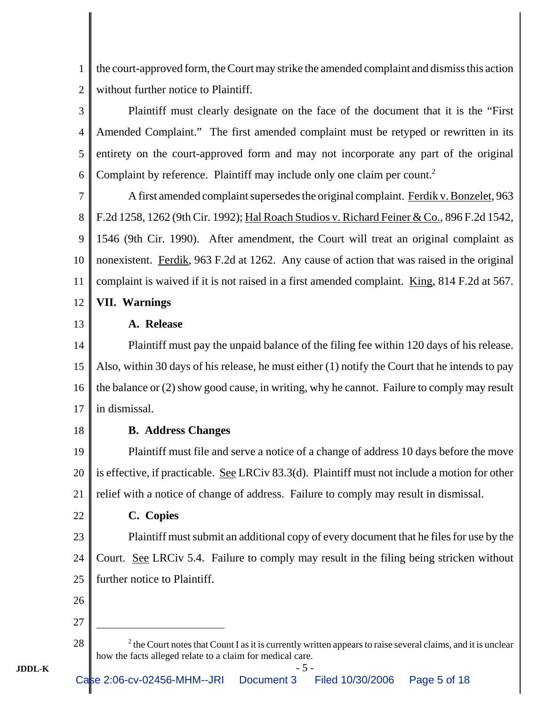1 2 the court-approved form, the Court may strike the amended complaint and dismiss this action without further notice to Plaintiff.

3 4 5 6 Plaintiff must clearly designate on the face of the document that it is the "First Amended Complaint." The first amended complaint must be retyped or rewritten in its entirety on the court-approved form and may not incorporate any part of the original Complaint by reference. Plaintiff may include only one claim per count.<sup>2</sup>

7 8 9 10 11 12 A first amended complaint supersedes the original complaint. Ferdik v. Bonzelet, 963 F.2d 1258, 1262 (9th Cir. 1992); Hal Roach Studios v. Richard Feiner & Co., 896 F.2d 1542, 1546 (9th Cir. 1990). After amendment, the Court will treat an original complaint as nonexistent. Ferdik, 963 F.2d at 1262. Any cause of action that was raised in the original complaint is waived if it is not raised in a first amended complaint. King, 814 F.2d at 567. **VII. Warnings**

13

### **A. Release**

14 15 16 17 Plaintiff must pay the unpaid balance of the filing fee within 120 days of his release. Also, within 30 days of his release, he must either (1) notify the Court that he intends to pay the balance or (2) show good cause, in writing, why he cannot. Failure to comply may result in dismissal.

18

### **B. Address Changes**

19 20 21 Plaintiff must file and serve a notice of a change of address 10 days before the move is effective, if practicable. See LRCiv 83.3(d). Plaintiff must not include a motion for other relief with a notice of change of address. Failure to comply may result in dismissal.

22

# **C. Copies**

23 24 25 Plaintiff must submit an additional copy of every document that he files for use by the Court. See LRCiv 5.4. Failure to comply may result in the filing being stricken without further notice to Plaintiff.

26

27

28 <sup>2</sup>

 $t^2$  the Court notes that Count I as it is currently written appears to raise several claims, and it is unclear how the facts alleged relate to a claim for medical care.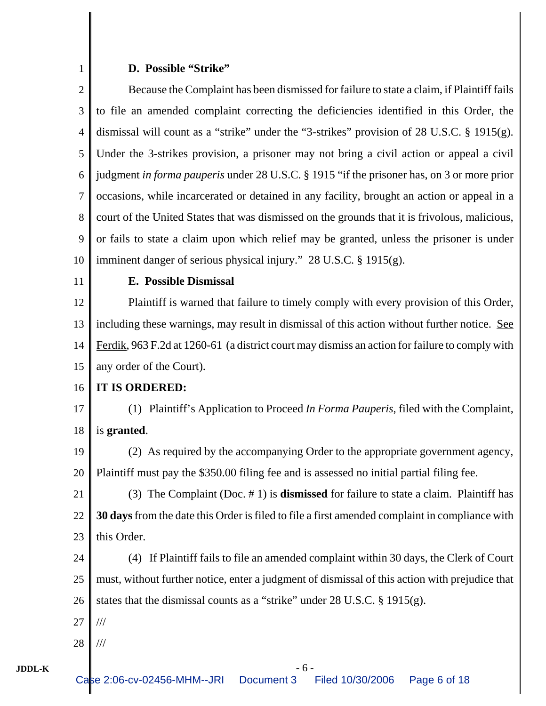# **D. Possible "Strike"**

1

| $\overline{2}$ | Because the Complaint has been dismissed for failure to state a claim, if Plaintiff fails       |
|----------------|-------------------------------------------------------------------------------------------------|
| 3              | to file an amended complaint correcting the deficiencies identified in this Order, the          |
| $\overline{4}$ | dismissal will count as a "strike" under the "3-strikes" provision of $28$ U.S.C. § 1915(g).    |
| 5              | Under the 3-strikes provision, a prisoner may not bring a civil action or appeal a civil        |
| 6              | judgment in forma pauperis under 28 U.S.C. § 1915 "if the prisoner has, on 3 or more prior      |
| $\tau$         | occasions, while incarcerated or detained in any facility, brought an action or appeal in a     |
| $8\,$          | court of the United States that was dismissed on the grounds that it is frivolous, malicious,   |
| 9              | or fails to state a claim upon which relief may be granted, unless the prisoner is under        |
| 10             | imminent danger of serious physical injury." 28 U.S.C. § 1915(g).                               |
| 11             | E. Possible Dismissal                                                                           |
| 12             | Plaintiff is warned that failure to timely comply with every provision of this Order,           |
| 13             | including these warnings, may result in dismissal of this action without further notice. See    |
| 14             | Ferdik, 963 F.2d at 1260-61 (a district court may dismiss an action for failure to comply with  |
| 15             | any order of the Court).                                                                        |
| 16             | IT IS ORDERED:                                                                                  |
| 17             | (1) Plaintiff's Application to Proceed <i>In Forma Pauperis</i> , filed with the Complaint,     |
| 18             | is granted.                                                                                     |
| 19             | (2) As required by the accompanying Order to the appropriate government agency,                 |
| 20             | Plaintiff must pay the \$350.00 filing fee and is assessed no initial partial filing fee.       |
| 21             | (3) The Complaint (Doc. $# 1$ ) is <b>dismissed</b> for failure to state a claim. Plaintiff has |
| 22             | 30 days from the date this Order is filed to file a first amended complaint in compliance with  |
| 23             | this Order.                                                                                     |
| 24             | If Plaintiff fails to file an amended complaint within 30 days, the Clerk of Court<br>(4)       |
| 25             | must, without further notice, enter a judgment of dismissal of this action with prejudice that  |
| 26             | states that the dismissal counts as a "strike" under $28$ U.S.C. § 1915(g).                     |
| 27             | $\frac{1}{1}$                                                                                   |
| 28             | ///                                                                                             |
|                |                                                                                                 |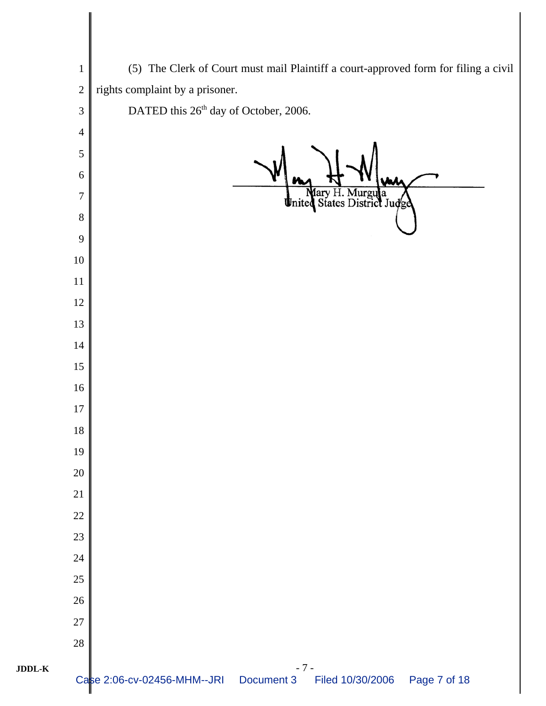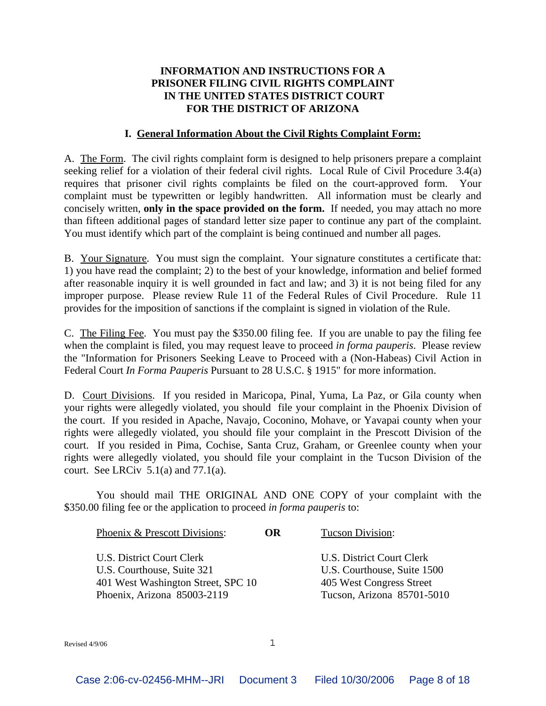### **INFORMATION AND INSTRUCTIONS FOR A PRISONER FILING CIVIL RIGHTS COMPLAINT IN THE UNITED STATES DISTRICT COURT FOR THE DISTRICT OF ARIZONA**

### **I. General Information About the Civil Rights Complaint Form:**

A. The Form. The civil rights complaint form is designed to help prisoners prepare a complaint seeking relief for a violation of their federal civil rights. Local Rule of Civil Procedure 3.4(a) requires that prisoner civil rights complaints be filed on the court-approved form. Your complaint must be typewritten or legibly handwritten. All information must be clearly and concisely written, **only in the space provided on the form.** If needed, you may attach no more than fifteen additional pages of standard letter size paper to continue any part of the complaint. You must identify which part of the complaint is being continued and number all pages.

B. Your Signature. You must sign the complaint. Your signature constitutes a certificate that: 1) you have read the complaint; 2) to the best of your knowledge, information and belief formed after reasonable inquiry it is well grounded in fact and law; and 3) it is not being filed for any improper purpose. Please review Rule 11 of the Federal Rules of Civil Procedure. Rule 11 provides for the imposition of sanctions if the complaint is signed in violation of the Rule.

C. The Filing Fee. You must pay the \$350.00 filing fee. If you are unable to pay the filing fee when the complaint is filed, you may request leave to proceed *in forma pauperis*. Please review the "Information for Prisoners Seeking Leave to Proceed with a (Non-Habeas) Civil Action in Federal Court *In Forma Pauperis* Pursuant to 28 U.S.C. § 1915" for more information.

D. Court Divisions. If you resided in Maricopa, Pinal, Yuma, La Paz, or Gila county when your rights were allegedly violated, you should file your complaint in the Phoenix Division of the court. If you resided in Apache, Navajo, Coconino, Mohave, or Yavapai county when your rights were allegedly violated, you should file your complaint in the Prescott Division of the court. If you resided in Pima, Cochise, Santa Cruz, Graham, or Greenlee county when your rights were allegedly violated, you should file your complaint in the Tucson Division of the court. See LRCiv  $5.1(a)$  and  $77.1(a)$ .

You should mail THE ORIGINAL AND ONE COPY of your complaint with the \$350.00 filing fee or the application to proceed *in forma pauperis* to:

| Phoenix & Prescott Divisions:                                                                                                | OR. | Tucson Division:                                                                                                   |
|------------------------------------------------------------------------------------------------------------------------------|-----|--------------------------------------------------------------------------------------------------------------------|
| U.S. District Court Clerk<br>U.S. Courthouse, Suite 321<br>401 West Washington Street, SPC 10<br>Phoenix, Arizona 85003-2119 |     | U.S. District Court Clerk<br>U.S. Courthouse, Suite 1500<br>405 West Congress Street<br>Tucson, Arizona 85701-5010 |
|                                                                                                                              |     |                                                                                                                    |

Revised  $4/9/06$  1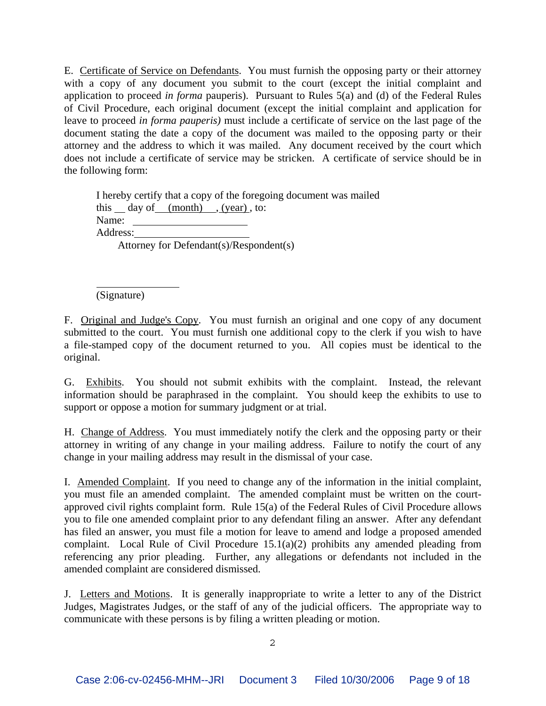E. Certificate of Service on Defendants. You must furnish the opposing party or their attorney with a copy of any document you submit to the court (except the initial complaint and application to proceed *in forma* pauperis). Pursuant to Rules 5(a) and (d) of the Federal Rules of Civil Procedure, each original document (except the initial complaint and application for leave to proceed *in forma pauperis)* must include a certificate of service on the last page of the document stating the date a copy of the document was mailed to the opposing party or their attorney and the address to which it was mailed. Any document received by the court which does not include a certificate of service may be stricken. A certificate of service should be in the following form:

I hereby certify that a copy of the foregoing document was mailed this day of  $(month)$ ,  $(vear)$ , to: Name: Address: Attorney for Defendant(s)/Respondent(s)

(Signature)

 $\overline{a}$ 

F. Original and Judge's Copy. You must furnish an original and one copy of any document submitted to the court. You must furnish one additional copy to the clerk if you wish to have a file-stamped copy of the document returned to you. All copies must be identical to the original.

G. Exhibits. You should not submit exhibits with the complaint. Instead, the relevant information should be paraphrased in the complaint. You should keep the exhibits to use to support or oppose a motion for summary judgment or at trial.

H. Change of Address. You must immediately notify the clerk and the opposing party or their attorney in writing of any change in your mailing address. Failure to notify the court of any change in your mailing address may result in the dismissal of your case.

I. Amended Complaint. If you need to change any of the information in the initial complaint, you must file an amended complaint. The amended complaint must be written on the courtapproved civil rights complaint form. Rule  $15(a)$  of the Federal Rules of Civil Procedure allows you to file one amended complaint prior to any defendant filing an answer. After any defendant has filed an answer, you must file a motion for leave to amend and lodge a proposed amended complaint. Local Rule of Civil Procedure 15.1(a)(2) prohibits any amended pleading from referencing any prior pleading. Further, any allegations or defendants not included in the amended complaint are considered dismissed.

J. Letters and Motions. It is generally inappropriate to write a letter to any of the District Judges, Magistrates Judges, or the staff of any of the judicial officers. The appropriate way to communicate with these persons is by filing a written pleading or motion.

2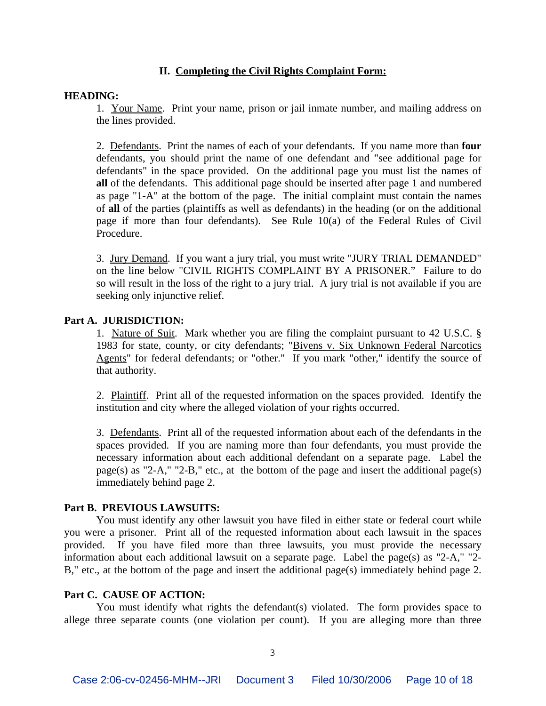### **II. Completing the Civil Rights Complaint Form:**

#### **HEADING:**

1. Your Name. Print your name, prison or jail inmate number, and mailing address on the lines provided.

2. Defendants. Print the names of each of your defendants. If you name more than **four** defendants, you should print the name of one defendant and "see additional page for defendants" in the space provided. On the additional page you must list the names of **all** of the defendants. This additional page should be inserted after page 1 and numbered as page "1-A" at the bottom of the page. The initial complaint must contain the names of **all** of the parties (plaintiffs as well as defendants) in the heading (or on the additional page if more than four defendants). See Rule 10(a) of the Federal Rules of Civil Procedure.

3. Jury Demand. If you want a jury trial, you must write "JURY TRIAL DEMANDED" on the line below "CIVIL RIGHTS COMPLAINT BY A PRISONER." Failure to do so will result in the loss of the right to a jury trial. A jury trial is not available if you are seeking only injunctive relief.

#### **Part A. JURISDICTION:**

1. Nature of Suit. Mark whether you are filing the complaint pursuant to 42 U.S.C. § 1983 for state, county, or city defendants; "Bivens v. Six Unknown Federal Narcotics Agents" for federal defendants; or "other." If you mark "other," identify the source of that authority.

2. Plaintiff. Print all of the requested information on the spaces provided. Identify the institution and city where the alleged violation of your rights occurred.

3. Defendants. Print all of the requested information about each of the defendants in the spaces provided. If you are naming more than four defendants, you must provide the necessary information about each additional defendant on a separate page. Label the page(s) as "2-A," "2-B," etc., at the bottom of the page and insert the additional page(s) immediately behind page 2.

#### **Part B. PREVIOUS LAWSUITS:**

You must identify any other lawsuit you have filed in either state or federal court while you were a prisoner. Print all of the requested information about each lawsuit in the spaces provided. If you have filed more than three lawsuits, you must provide the necessary information about each additional lawsuit on a separate page. Label the page(s) as "2-A," "2- B," etc., at the bottom of the page and insert the additional page(s) immediately behind page 2.

#### **Part C. CAUSE OF ACTION:**

You must identify what rights the defendant(s) violated. The form provides space to allege three separate counts (one violation per count). If you are alleging more than three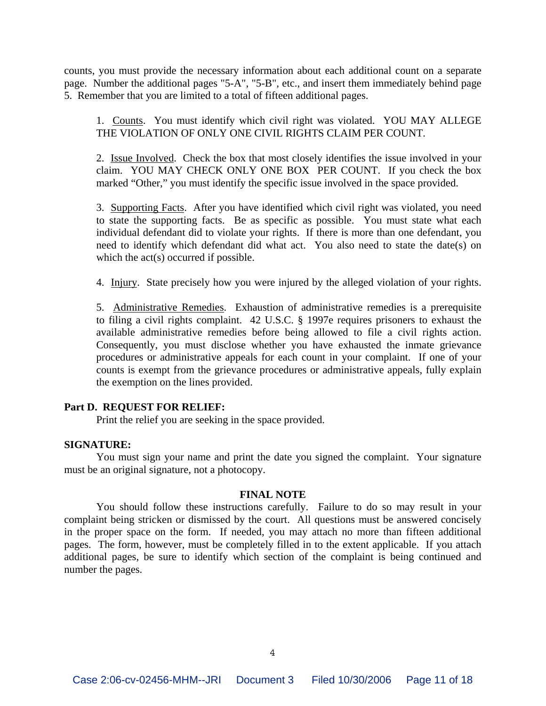counts, you must provide the necessary information about each additional count on a separate page. Number the additional pages "5-A", "5-B", etc., and insert them immediately behind page 5. Remember that you are limited to a total of fifteen additional pages.

1. Counts. You must identify which civil right was violated. YOU MAY ALLEGE THE VIOLATION OF ONLY ONE CIVIL RIGHTS CLAIM PER COUNT.

2. Issue Involved. Check the box that most closely identifies the issue involved in your claim. YOU MAY CHECK ONLY ONE BOX PER COUNT. If you check the box marked "Other," you must identify the specific issue involved in the space provided.

3. Supporting Facts. After you have identified which civil right was violated, you need to state the supporting facts. Be as specific as possible. You must state what each individual defendant did to violate your rights. If there is more than one defendant, you need to identify which defendant did what act. You also need to state the date(s) on which the act(s) occurred if possible.

4. Injury. State precisely how you were injured by the alleged violation of your rights.

5. Administrative Remedies. Exhaustion of administrative remedies is a prerequisite to filing a civil rights complaint. 42 U.S.C. § 1997e requires prisoners to exhaust the available administrative remedies before being allowed to file a civil rights action. Consequently, you must disclose whether you have exhausted the inmate grievance procedures or administrative appeals for each count in your complaint. If one of your counts is exempt from the grievance procedures or administrative appeals, fully explain the exemption on the lines provided.

#### **Part D. REQUEST FOR RELIEF:**

Print the relief you are seeking in the space provided.

#### **SIGNATURE:**

You must sign your name and print the date you signed the complaint. Your signature must be an original signature, not a photocopy.

#### **FINAL NOTE**

You should follow these instructions carefully. Failure to do so may result in your complaint being stricken or dismissed by the court. All questions must be answered concisely in the proper space on the form. If needed, you may attach no more than fifteen additional pages. The form, however, must be completely filled in to the extent applicable. If you attach additional pages, be sure to identify which section of the complaint is being continued and number the pages.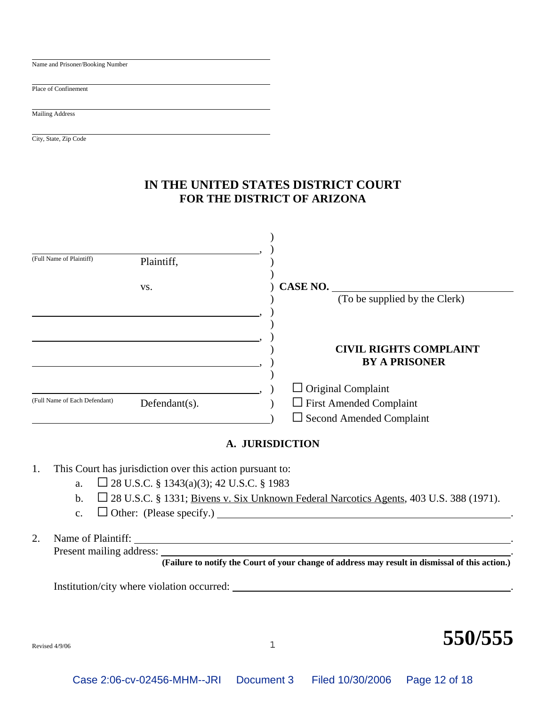| Name and Prisoner/Booking Number |                                           |
|----------------------------------|-------------------------------------------|
|                                  |                                           |
| Place of Confinement             |                                           |
|                                  |                                           |
| Mailing Address                  |                                           |
|                                  |                                           |
| City, State, Zip Code            |                                           |
|                                  |                                           |
|                                  |                                           |
|                                  |                                           |
|                                  | IN THIE INJURIO OF LEDO DIOTOIOLOG CALIDE |

## **IN THE UNITED STATES DISTRICT COURT FOR THE DISTRICT OF ARIZONA**

| (Full Name of Plaintiff)      | Plaintiff,    |                                                       |
|-------------------------------|---------------|-------------------------------------------------------|
|                               | VS.           | CASE NO.                                              |
|                               |               | (To be supplied by the Clerk)                         |
|                               |               |                                                       |
|                               |               |                                                       |
|                               |               | <b>CIVIL RIGHTS COMPLAINT</b><br><b>BY A PRISONER</b> |
|                               |               | $\Box$ Original Complaint                             |
| (Full Name of Each Defendant) | Defendant(s). | <b>First Amended Complaint</b><br>$\mathsf{L}$        |
|                               |               | $\Box$ Second Amended Complaint                       |

### **A. JURISDICTION**

- 1. This Court has jurisdiction over this action pursuant to:
	- a.  $\Box$  28 U.S.C. § 1343(a)(3); 42 U.S.C. § 1983
	- b.  $\Box$  28 U.S.C. § 1331; Bivens v. Six Unknown Federal Narcotics Agents, 403 U.S. 388 (1971).
	- c.  $\Box$  Other: (Please specify.)  $\Box$

### 2. Name of Plaintiff: . Present mailing address:

**(Failure to notify the Court of your change of address may result in dismissal of this action.)**

Institution/city where violation occurred: .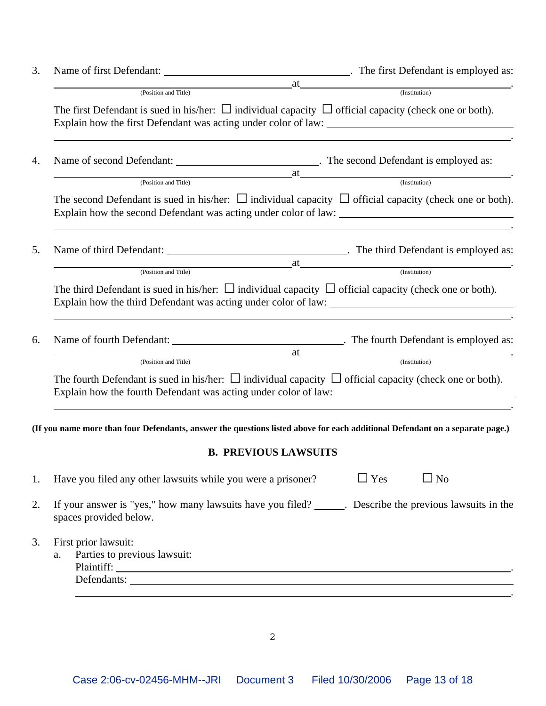|                                                            | $\Box$ Yes<br>$\Box$ No                                                                                                                                                                                                        |                                                                                                                                                                                                                                                                                                                                                                                                                                                                                                                                                                                                                                                                                                                                                                                                                                                                                                                                                                                                                                                                                                                                                                                                                                                                                                       |
|------------------------------------------------------------|--------------------------------------------------------------------------------------------------------------------------------------------------------------------------------------------------------------------------------|-------------------------------------------------------------------------------------------------------------------------------------------------------------------------------------------------------------------------------------------------------------------------------------------------------------------------------------------------------------------------------------------------------------------------------------------------------------------------------------------------------------------------------------------------------------------------------------------------------------------------------------------------------------------------------------------------------------------------------------------------------------------------------------------------------------------------------------------------------------------------------------------------------------------------------------------------------------------------------------------------------------------------------------------------------------------------------------------------------------------------------------------------------------------------------------------------------------------------------------------------------------------------------------------------------|
| spaces provided below.                                     |                                                                                                                                                                                                                                |                                                                                                                                                                                                                                                                                                                                                                                                                                                                                                                                                                                                                                                                                                                                                                                                                                                                                                                                                                                                                                                                                                                                                                                                                                                                                                       |
| First prior lawsuit:<br>Parties to previous lawsuit:<br>a. | Defendants: Note and the set of the set of the set of the set of the set of the set of the set of the set of the set of the set of the set of the set of the set of the set of the set of the set of the set of the set of the |                                                                                                                                                                                                                                                                                                                                                                                                                                                                                                                                                                                                                                                                                                                                                                                                                                                                                                                                                                                                                                                                                                                                                                                                                                                                                                       |
|                                                            | (Position and Title)<br>(Position and Title)                                                                                                                                                                                   | at (Institution)<br>The first Defendant is sued in his/her: $\Box$ individual capacity $\Box$ official capacity (check one or both).<br>Explain how the first Defendant was acting under color of law:<br>(Position and Title) <b>and Title</b> (Position and Title)<br>The second Defendant is sued in his/her: $\Box$ individual capacity $\Box$ official capacity (check one or both).<br>at (Institution)<br>The third Defendant is sued in his/her: $\Box$ individual capacity $\Box$ official capacity (check one or both).<br>Explain how the third Defendant was acting under color of law:<br>(Position and Title) and Title and Title and Title and Title and Title and Title and Title and Title and Title and Title and Title and Title and Title and Title and Title and Title and Title and Title and Title and Title a<br>The fourth Defendant is sued in his/her: $\Box$ individual capacity $\Box$ official capacity (check one or both).<br>(If you name more than four Defendants, answer the questions listed above for each additional Defendant on a separate page.)<br><b>B. PREVIOUS LAWSUITS</b><br>Have you filed any other lawsuits while you were a prisoner?<br>If your answer is "yes," how many lawsuits have you filed? ______. Describe the previous lawsuits in the |

2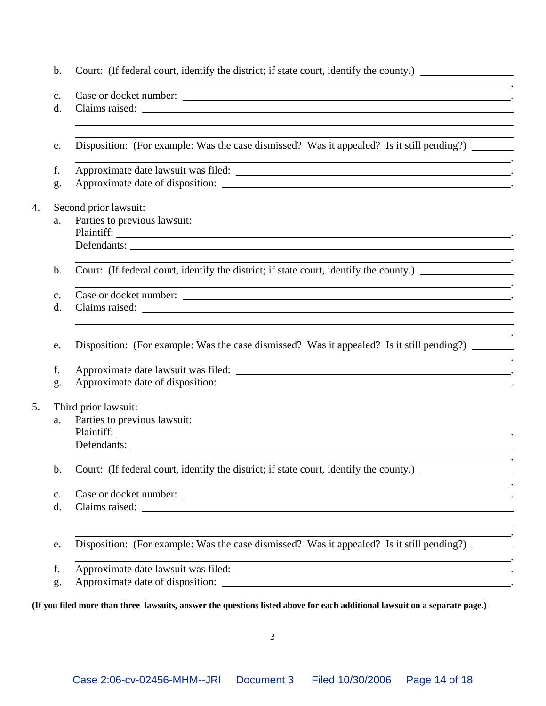| b.             | Court: (If federal court, identify the district; if state court, identify the county.) _____________                                     |  |  |  |
|----------------|------------------------------------------------------------------------------------------------------------------------------------------|--|--|--|
| c.             | <u> 1999 - Jan James James Barnett, fransk politik (d. 1989)</u><br>Case or docket number:                                               |  |  |  |
| d.             |                                                                                                                                          |  |  |  |
| e.             | Disposition: (For example: Was the case dismissed? Was it appealed? Is it still pending?)                                                |  |  |  |
| f.             | <u> 1989 - Johann Barn, fransk politik (d. 1989)</u>                                                                                     |  |  |  |
| g.             |                                                                                                                                          |  |  |  |
|                | Second prior lawsuit:                                                                                                                    |  |  |  |
| a.             | Parties to previous lawsuit:                                                                                                             |  |  |  |
|                |                                                                                                                                          |  |  |  |
|                | Defendants:                                                                                                                              |  |  |  |
| b.             | Court: (If federal court, identify the district; if state court, identify the county.)                                                   |  |  |  |
| c.             | ,我们也不会有什么。""我们的人,我们也不会有什么?""我们的人,我们也不会有什么?""我们的人,我们也不会有什么?""我们的人,我们也不会有什么?""我们的人<br>Case or docket number:                               |  |  |  |
| d.             | <u> 1989 - Johann Stoff, amerikansk politiker (d. 1989)</u>                                                                              |  |  |  |
| e.             | Disposition: (For example: Was the case dismissed? Was it appealed? Is it still pending?)                                                |  |  |  |
| f.             | <u> 1989 - Johann Stoff, amerikansk politiker (* 1908)</u>                                                                               |  |  |  |
| g.             | Approximate date of disposition:                                                                                                         |  |  |  |
|                | Third prior lawsuit:                                                                                                                     |  |  |  |
| a.             | Parties to previous lawsuit:                                                                                                             |  |  |  |
|                |                                                                                                                                          |  |  |  |
|                | Defendants:                                                                                                                              |  |  |  |
| $\mathbf{b}$ . | Court: (If federal court, identify the district; if state court, identify the county.) ____________                                      |  |  |  |
| c.             | 图1-10-10-20 Control Design Design Design Design Design Design Design Design Design Design Design Design Design<br>Case or docket number: |  |  |  |
| d.             | <u>and the state of the state of the state of the state of the state of the state of the state of the state of th</u>                    |  |  |  |
| e.             | Disposition: (For example: Was the case dismissed? Was it appealed? Is it still pending?)                                                |  |  |  |
| f.             | <u> 1989 - Andrea Santa Andrea Santa Andrea Santa Andrea Santa Andrea Santa Andrea Santa Andrea Santa Andrea San</u>                     |  |  |  |
| g.             | Approximate date of disposition:                                                                                                         |  |  |  |

**(If you filed more than three lawsuits, answer the questions listed above for each additional lawsuit on a separate page.)**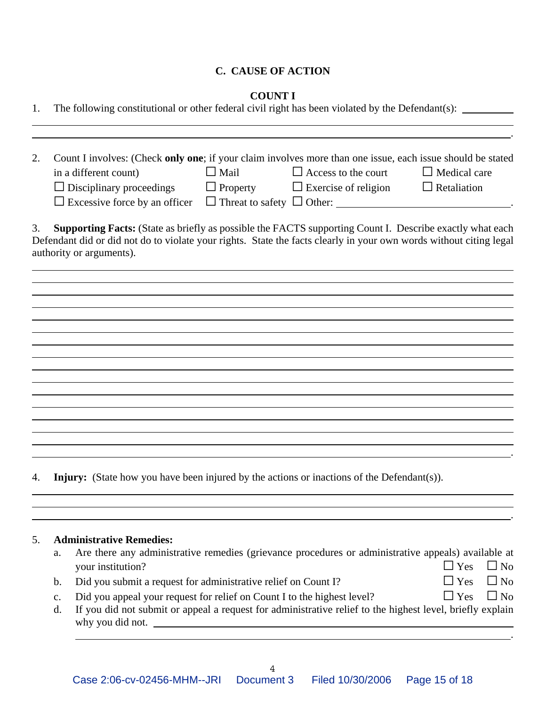### **C. CAUSE OF ACTION**

### **COUNT I**

| 1. |                      | The following constitutional or other federal civil right has been violated by the Defendant(s):                                                                                                                                                                  |             |                                                                                                     |                                      |
|----|----------------------|-------------------------------------------------------------------------------------------------------------------------------------------------------------------------------------------------------------------------------------------------------------------|-------------|-----------------------------------------------------------------------------------------------------|--------------------------------------|
| 2. |                      | Count I involves: (Check only one; if your claim involves more than one issue, each issue should be stated<br>in a different count)<br>$\Box$ Disciplinary proceedings $\Box$ Property $\Box$ Exercise of religion $\Box$ Retaliation                             | $\Box$ Mail | $\Box$ Access to the court                                                                          | $\Box$ Medical care                  |
| 3. |                      | <b>Supporting Facts:</b> (State as briefly as possible the FACTS supporting Count I. Describe exactly what each<br>Defendant did or did not do to violate your rights. State the facts clearly in your own words without citing legal<br>authority or arguments). |             |                                                                                                     |                                      |
|    |                      |                                                                                                                                                                                                                                                                   |             |                                                                                                     |                                      |
|    |                      |                                                                                                                                                                                                                                                                   |             |                                                                                                     |                                      |
|    |                      |                                                                                                                                                                                                                                                                   |             |                                                                                                     |                                      |
| 4. |                      | <b>Injury:</b> (State how you have been injured by the actions or inactions of the Defendant(s)).                                                                                                                                                                 |             |                                                                                                     |                                      |
| 5. | a.                   | <b>Administrative Remedies:</b><br>your institution?                                                                                                                                                                                                              |             | Are there any administrative remedies (grievance procedures or administrative appeals) available at | $\Box$ Yes<br>$\Box$ No              |
|    | b.<br>$\mathbf{c}$ . | Did you submit a request for administrative relief on Count I?<br>Did you appeal your request for relief on Count I to the highest level?                                                                                                                         |             |                                                                                                     | $\Box$ No<br>Yes<br>Yes<br>$\Box$ No |

d. If you did not submit or appeal a request for administrative relief to the highest level, briefly explain why you did not.  $\qquad \qquad$ 

.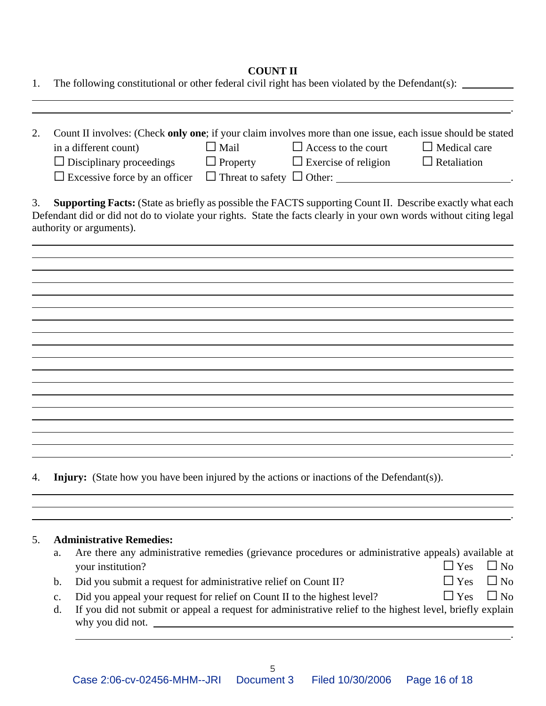## **COUNT II**

| 1. |          | The following constitutional or other federal civil right has been violated by the Defendant(s): _________                                                                                                                                                                                                                                                                                        |
|----|----------|---------------------------------------------------------------------------------------------------------------------------------------------------------------------------------------------------------------------------------------------------------------------------------------------------------------------------------------------------------------------------------------------------|
| 2. |          | Count II involves: (Check only one; if your claim involves more than one issue, each issue should be stated<br>$\Box$ Mail<br>$\Box$ Access to the court<br>in a different count)<br>$\Box$ Medical care<br>$\Box$ Property<br>$\Box$ Exercise of religion<br>$\Box$ Disciplinary proceedings<br>$\Box$ Retaliation<br>$\Box$ Excessive force by an officer $\Box$ Threat to safety $\Box$ Other: |
| 3. |          | <b>Supporting Facts:</b> (State as briefly as possible the FACTS supporting Count II. Describe exactly what each<br>Defendant did or did not do to violate your rights. State the facts clearly in your own words without citing legal<br>authority or arguments).                                                                                                                                |
|    |          |                                                                                                                                                                                                                                                                                                                                                                                                   |
|    |          |                                                                                                                                                                                                                                                                                                                                                                                                   |
|    |          |                                                                                                                                                                                                                                                                                                                                                                                                   |
| 4. |          | <b>Injury:</b> (State how you have been injured by the actions or inactions of the Defendant(s)).                                                                                                                                                                                                                                                                                                 |
| 5. | a.       | <b>Administrative Remedies:</b><br>Are there any administrative remedies (grievance procedures or administrative appeals) available at                                                                                                                                                                                                                                                            |
|    |          | $\Box$ Yes<br>$\Box$ No<br>your institution?                                                                                                                                                                                                                                                                                                                                                      |
|    | b.       | $\Box$ No<br>$\exists$ Yes<br>Did you submit a request for administrative relief on Count II?                                                                                                                                                                                                                                                                                                     |
|    | c.<br>d. | $\Box$ No<br>$\Box$ Yes<br>Did you appeal your request for relief on Count II to the highest level?<br>If you did not submit or appeal a request for administrative relief to the highest level, briefly explain<br>why you did not.                                                                                                                                                              |

.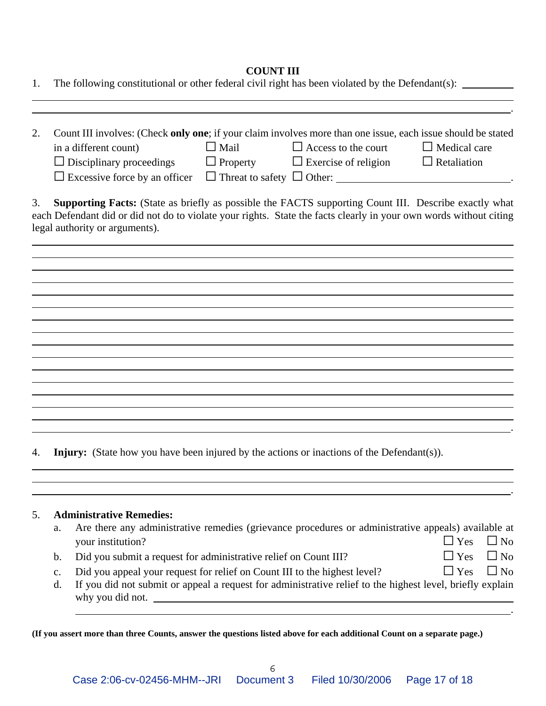### **COUNT III**

| 1. | The following constitutional or other federal civil right has been violated by the Defendant(s):                                                                                                                                                                                                                                                                                                    |
|----|-----------------------------------------------------------------------------------------------------------------------------------------------------------------------------------------------------------------------------------------------------------------------------------------------------------------------------------------------------------------------------------------------------|
| 2. | Count III involves: (Check only one; if your claim involves more than one issue, each issue should be stated<br>$\Box$ Mail<br>$\Box$ Access to the court<br>$\Box$ Medical care<br>in a different count)<br>$\Box$ Disciplinary proceedings $\Box$ Property $\Box$ Exercise of religion<br>$\Box$ Retaliation<br>$\Box$ Excessive force by an officer $\Box$ Threat to safety $\Box$ Other: $\Box$ |
| 3. | Supporting Facts: (State as briefly as possible the FACTS supporting Count III. Describe exactly what<br>each Defendant did or did not do to violate your rights. State the facts clearly in your own words without citing<br>legal authority or arguments).                                                                                                                                        |
|    |                                                                                                                                                                                                                                                                                                                                                                                                     |
|    |                                                                                                                                                                                                                                                                                                                                                                                                     |
|    |                                                                                                                                                                                                                                                                                                                                                                                                     |
| 4. | <b>Injury:</b> (State how you have been injured by the actions or inactions of the Defendant(s)).                                                                                                                                                                                                                                                                                                   |
| 5. | <b>Administrative Remedies:</b><br>Are there any administrative remedies (grievance procedures or administrative appeals) available at<br>a.<br>$\exists$ Yes<br>$\Box$ No<br>your institution?                                                                                                                                                                                                     |
|    | Yes<br>N <sub>o</sub><br>Did you submit a request for administrative relief on Count III?<br>b.                                                                                                                                                                                                                                                                                                     |
|    | Did you appeal your request for relief on Count III to the highest level?<br>$\exists$ Yes<br>$\Box$ No<br>c.                                                                                                                                                                                                                                                                                       |

d. If you did not submit or appeal a request for administrative relief to the highest level, briefly explain why you did not.

.

**(If you assert more than three Counts, answer the questions listed above for each additional Count on a separate page.)**